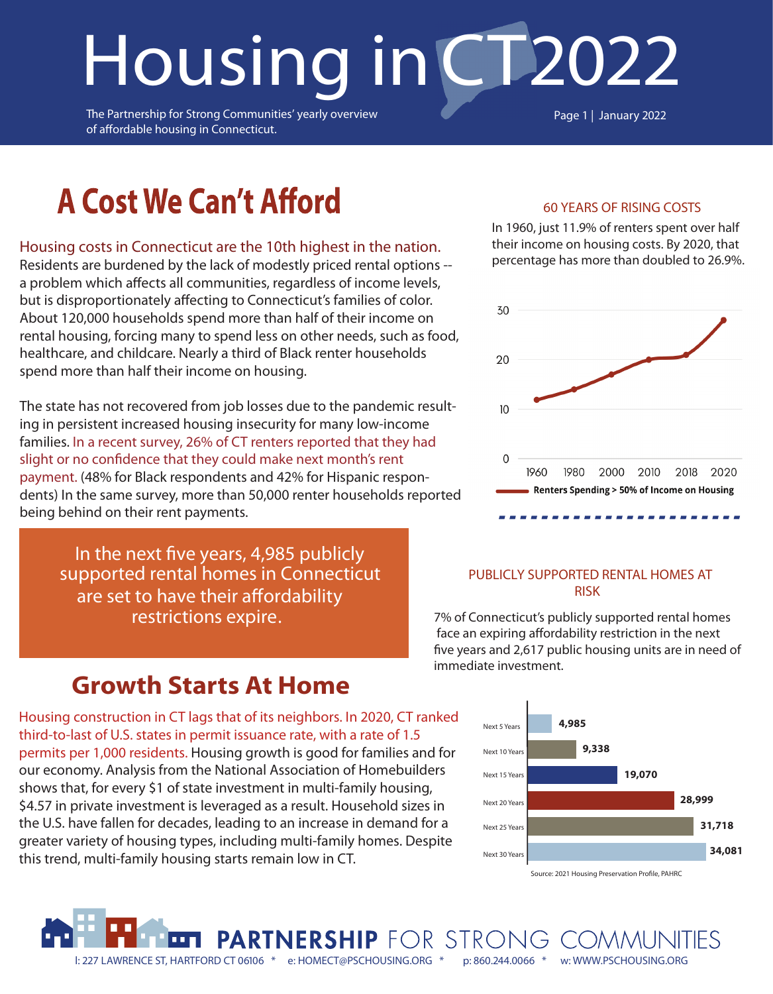# **Housing inCT**2022

The Partnership for Strong Communities' yearly overview of affordable housing in Connecticut.

Page 1 | January 2022

## **A Cost We Can't Afford**

#### **Housing costs in Connecticut are the 10th highest in the nation.**

Residents are burdened by the lack of modestly priced rental options - a problem which affects all communities, regardless of income levels, but is disproportionately affecting to Connecticut's families of color. About 120,000 households spend more than half of their income on rental housing, forcing many to spend less on other needs, such as food, healthcare, and childcare. Nearly a third of Black renter households spend more than half their income on housing.

The state has not recovered from job losses due to the pandemic resulting in persistent increased housing insecurity for many low-income families. In a recent survey, 26% of CT renters reported that they had slight or no confidence that they could make next month's rent payment. (48% for Black respondents and 42% for Hispanic respondents) In the same survey, more than 50,000 renter households reported being behind on their rent payments.

In the next five years, 4,985 publicly **supported rental homes in Connecticut**  are set to have their affordability **restrictions expire.**

#### 60 YEARS OF RISING COSTS

In 1960, just 11.9% of renters spent over half their income on housing costs. By 2020, that percentage has more than doubled to 26.9%.



#### PUBLICLY SUPPORTED RENTAL HOMES AT RISK

7% of Connecticut's publicly supported rental homes face an expiring affordability restriction in the next five years and 2,617 public housing units are in need of immediate investment.

### **Growth Starts At Home**

Housing construction in CT lags that of its neighbors. In 2020, CT ranked third-to-last of U.S. states in permit issuance rate, with a rate of 1.5 permits per 1,000 residents. Housing growth is good for families and for our economy. Analysis from the National Association of Homebuilders shows that, for every \$1 of state investment in multi-family housing, \$4.57 in private investment is leveraged as a result. Household sizes in the U.S. have fallen for decades, leading to an increase in demand for a greater variety of housing types, including multi-family homes. Despite this trend, multi-family housing starts remain low in CT.

l: 227 LAWRENCE ST, HARTFORD CT 06106 \* e: HOMECT@PSCHOUSING.ORG \* p: 860.244.0066 \* w: WWW.PSCHOUSING.ORG

PARTNERSHIP FOR STRONG